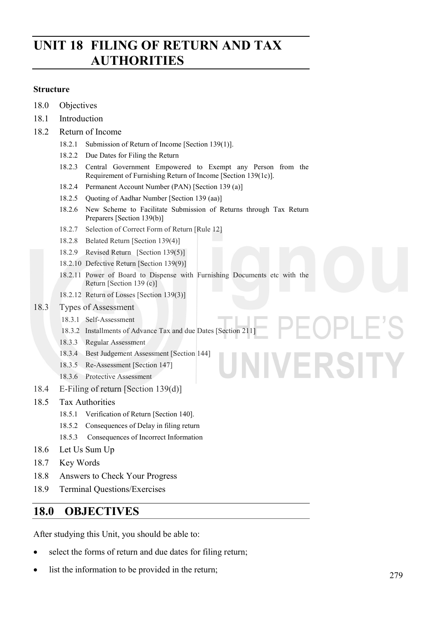# **UNIT 18 FILING OF RETURN AND TAX AUTHORITIES**

#### **Structure**

- 18.0 Objectives
- 18.1 Introduction
- 18.2 Return of Income
	- 18.2.1 Submission of Return of Income [Section 139(1)].
	- 18.2.2 Due Dates for Filing the Return
	- 18.2.3 Central Government Empowered to Exempt any Person from the Requirement of Furnishing Return of Income [Section 139(1c)].
	- 18.2.4 Permanent Account Number (PAN) [Section 139 (a)]
	- 18.2.5 Quoting of Aadhar Number [Section 139 (aa)]
	- 18.2.6 New Scheme to Facilitate Submission of Returns through Tax Return Preparers [Section 139(b)]
	- 18.2.7 Selection of Correct Form of Return [Rule 12]
	- 18.2.8 Belated Return [Section 139(4)]
	- 18.2.9 Revised Return [Section 139(5)]
	- 18.2.10 Defective Return [Section 139(9)]
	- 18.2.11 Power of Board to Dispense with Furnishing Documents etc with the Return [Section 139 (c)]
	- 18.2.12 Return of Losses [Section 139(3)]

#### 18.3 Types of Assessment

- 18.3.1 Self-Assessment
- 18.3.2 Installments of Advance Tax and due Dates [Section 211]
- 18.3.3 Regular Assessment
- 18.3.4 Best Judgement Assessment [Section 144]
- 18.3.5 Re-Assessment [Section 147]
- 18.3.6 Protective Assessment
- 18.4 E-Filing of return [Section 139(d)]
- 18.5 Tax Authorities
	- 18.5.1 Verification of Return [Section 140].
	- 18.5.2 Consequences of Delay in filing return
	- 18.5.3 Consequences of Incorrect Information
- 18.6 Let Us Sum Up
- 18.7 Key Words
- 18.8 Answers to Check Your Progress
- 18.9 Terminal Questions/Exercises

## **18.0 OBJECTIVES**

After studying this Unit, you should be able to:

- select the forms of return and due dates for filing return;
- list the information to be provided in the return;

UNIVERSITY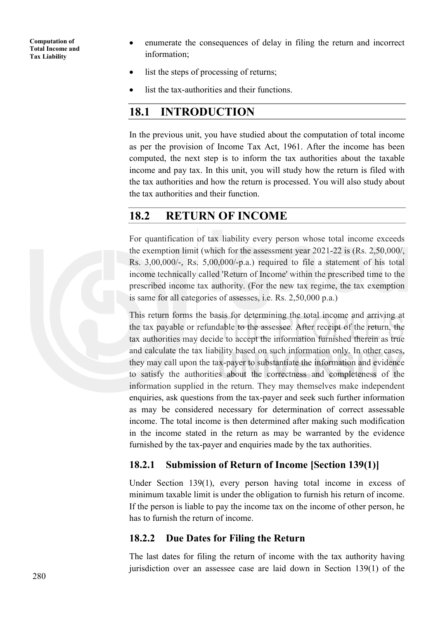- enumerate the consequences of delay in filing the return and incorrect information;
- list the steps of processing of returns;
- list the tax-authorities and their functions.

## **18.1 INTRODUCTION**

In the previous unit, you have studied about the computation of total income as per the provision of Income Tax Act, 1961. After the income has been computed, the next step is to inform the tax authorities about the taxable income and pay tax. In this unit, you will study how the return is filed with the tax authorities and how the return is processed. You will also study about the tax authorities and their function.

## **18.2 RETURN OF INCOME**

For quantification of tax liability every person whose total income exceeds the exemption limit (which for the assessment year 2021-22 is (Rs. 2,50,000/, Rs. 3,00,000/-, Rs. 5,00,000/-p.a.) required to file a statement of his total income technically called 'Return of Income' within the prescribed time to the prescribed income tax authority. (For the new tax regime, the tax exemption is same for all categories of assesses, i.e. Rs. 2,50,000 p.a.)

This return forms the basis for determining the total income and arriving at the tax payable or refundable to the assessee. After receipt of the return, the tax authorities may decide to accept the information furnished therein as true and calculate the tax liability based on such information only. In other cases, they may call upon the tax-payer to substantiate the information and evidence to satisfy the authorities about the correctness and completeness of the information supplied in the return. They may themselves make independent enquiries, ask questions from the tax-payer and seek such further information as may be considered necessary for determination of correct assessable income. The total income is then determined after making such modification in the income stated in the return as may be warranted by the evidence furnished by the tax-payer and enquiries made by the tax authorities.

### **18.2.1 Submission of Return of Income [Section 139(1)]**

Under Section 139(1), every person having total income in excess of minimum taxable limit is under the obligation to furnish his return of income. If the person is liable to pay the income tax on the income of other person, he has to furnish the return of income.

### **18.2.2 Due Dates for Filing the Return**

The last dates for filing the return of income with the tax authority having jurisdiction over an assessee case are laid down in Section 139(1) of the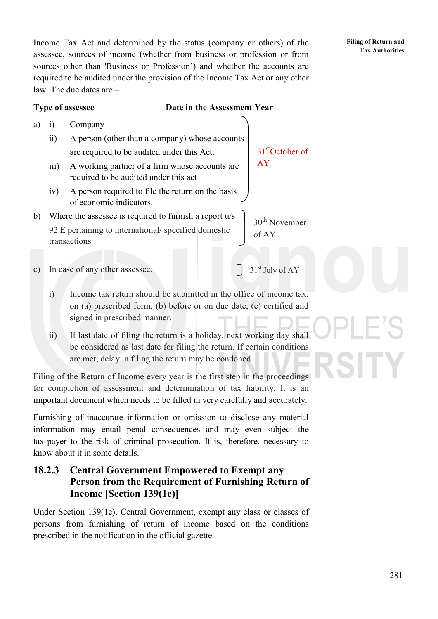Income Tax Act and determined by the status (company or others) of the assessee, sources of income (whether from business or profession or from sources other than 'Business or Profession') and whether the accounts are required to be audited under the provision of the Income Tax Act or any other law. The due dates are –

### **Type of assessee Date in the Assessment Year**

- a) i) Company
	- ii) A person (other than a company) whose accounts are required to be audited under this Act.
	- iii) A working partner of a firm whose accounts are required to be audited under this act
	- iv) A person required to file the return on the basis of economic indicators.
- b) Where the assessee is required to furnish a report u/s 92 E pertaining to international/ specified domestic transactions
- c) In case of any other assessee.
	- i) Income tax return should be submitted in the office of income tax, on (a) prescribed form, (b) before or on due date, (c) certified and signed in prescribed manner.
	- ii) If last date of filing the return is a holiday, next working day shall be considered as last date for filing the return. If certain conditions are met, delay in filing the return may be condoned.

Filing of the Return of Income every year is the first step in the proceedings for completion of assessment and determination of tax liability. It is an important document which needs to be filled in very carefully and accurately.

Furnishing of inaccurate information or omission to disclose any material information may entail penal consequences and may even subject the tax-payer to the risk of criminal prosecution. It is, therefore, necessary to know about it in some details.

## **18.2.3 Central Government Empowered to Exempt any Person from the Requirement of Furnishing Return of Income [Section 139(1c)]**

Under Section 139(1c), Central Government, exempt any class or classes of persons from furnishing of return of income based on the conditions prescribed in the notification in the official gazette.

31<sup>st</sup> July of AY

of AY

31stOctober of

30th November

AY

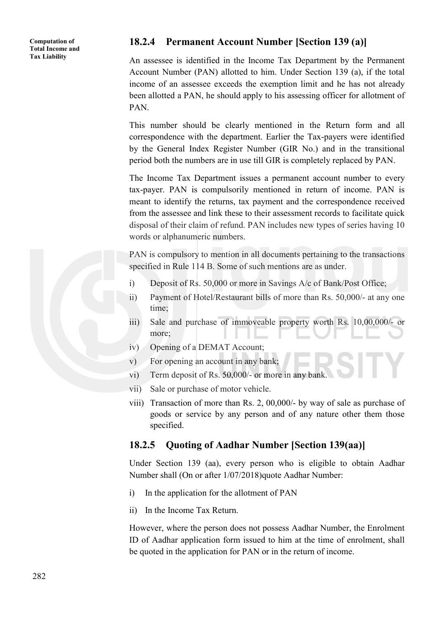### **18.2.4 Permanent Account Number [Section 139 (a)]**

An assessee is identified in the Income Tax Department by the Permanent Account Number (PAN) allotted to him. Under Section 139 (a), if the total income of an assessee exceeds the exemption limit and he has not already been allotted a PAN, he should apply to his assessing officer for allotment of PAN.

This number should be clearly mentioned in the Return form and all correspondence with the department. Earlier the Tax-payers were identified by the General Index Register Number (GIR No.) and in the transitional period both the numbers are in use till GIR is completely replaced by PAN.

The Income Tax Department issues a permanent account number to every tax-payer. PAN is compulsorily mentioned in return of income. PAN is meant to identify the returns, tax payment and the correspondence received from the assessee and link these to their assessment records to facilitate quick disposal of their claim of refund. PAN includes new types of series having 10 words or alphanumeric numbers.

PAN is compulsory to mention in all documents pertaining to the transactions specified in Rule 114 B. Some of such mentions are as under.

- i) Deposit of Rs. 50,000 or more in Savings A/c of Bank/Post Office;
- ii) Payment of Hotel/Restaurant bills of more than Rs. 50,000/- at any one time;
- iii) Sale and purchase of immoveable property worth Rs. 10,00,000/- or more;
- iv) Opening of a DEMAT Account;
- v) For opening an account in any bank;
- vi) Term deposit of Rs. 50,000/- or more in any bank.
- vii) Sale or purchase of motor vehicle.
- viii) Transaction of more than Rs. 2, 00,000/- by way of sale as purchase of goods or service by any person and of any nature other them those specified.

### **18.2.5 Quoting of Aadhar Number [Section 139(aa)]**

Under Section 139 (aa), every person who is eligible to obtain Aadhar Number shall (On or after 1/07/2018)quote Aadhar Number:

- i) In the application for the allotment of PAN
- ii) In the Income Tax Return.

However, where the person does not possess Aadhar Number, the Enrolment ID of Aadhar application form issued to him at the time of enrolment, shall be quoted in the application for PAN or in the return of income.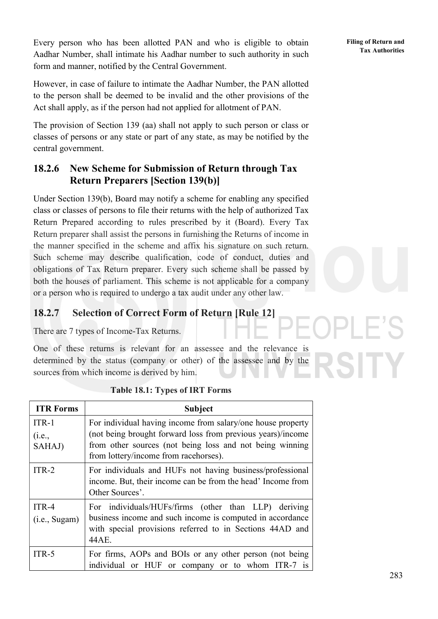Every person who has been allotted PAN and who is eligible to obtain Aadhar Number, shall intimate his Aadhar number to such authority in such form and manner, notified by the Central Government.

However, in case of failure to intimate the Aadhar Number, the PAN allotted to the person shall be deemed to be invalid and the other provisions of the Act shall apply, as if the person had not applied for allotment of PAN.

The provision of Section 139 (aa) shall not apply to such person or class or classes of persons or any state or part of any state, as may be notified by the central government.

## **18.2.6 New Scheme for Submission of Return through Tax Return Preparers [Section 139(b)]**

Under Section 139(b), Board may notify a scheme for enabling any specified class or classes of persons to file their returns with the help of authorized Tax Return Prepared according to rules prescribed by it (Board). Every Tax Return preparer shall assist the persons in furnishing the Returns of income in the manner specified in the scheme and affix his signature on such return. Such scheme may describe qualification, code of conduct, duties and obligations of Tax Return preparer. Every such scheme shall be passed by both the houses of parliament. This scheme is not applicable for a company or a person who is required to undergo a tax audit under any other law.

## **18.2.7 Selection of Correct Form of Return [Rule 12]**

There are 7 types of Income-Tax Returns.

One of these returns is relevant for an assessee and the relevance is determined by the status (company or other) of the assessee and by the sources from which income is derived by him.

| <b>ITR Forms</b>            | <b>Subject</b>                                                                                                                                                                                                                  |
|-----------------------------|---------------------------------------------------------------------------------------------------------------------------------------------------------------------------------------------------------------------------------|
| $ITR-1$<br>(i.e.,<br>SAHAJ) | For individual having income from salary/one house property<br>(not being brought forward loss from previous years)/income<br>from other sources (not being loss and not being winning<br>from lottery/income from racehorses). |
| $ITR-2$                     | For individuals and HUFs not having business/professional<br>income. But, their income can be from the head' Income from<br>Other Sources'.                                                                                     |
| ITR-4<br>(i.e., Sugam)      | For individuals/HUFs/firms (other than LLP) deriving<br>business income and such income is computed in accordance<br>with special provisions referred to in Sections 44AD and<br>44AE.                                          |
| $ITR-5$                     | For firms, AOPs and BOIs or any other person (not being<br>individual or HUF or company or to whom ITR-7 is                                                                                                                     |

### **Table 18.1: Types of IRT Forms**

**Filing of Return and Tax Authorities**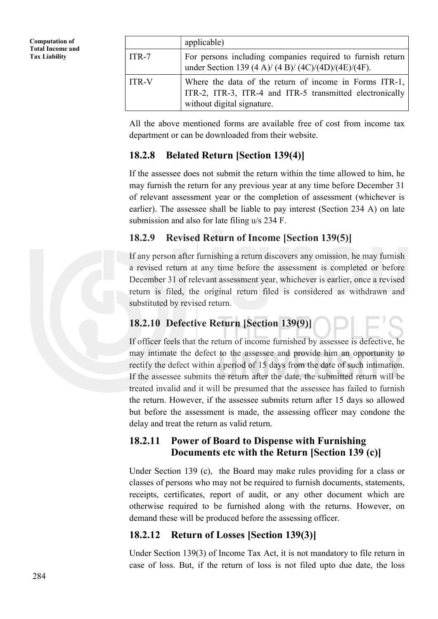|              | applicable)                                                                                                                                      |
|--------------|--------------------------------------------------------------------------------------------------------------------------------------------------|
| $ITR-7$      | For persons including companies required to furnish return<br>under Section 139 (4 A)/ (4 B)/ (4 C)/(4 D)/(4 E)/(4 F).                           |
| <b>ITR-V</b> | Where the data of the return of income in Forms ITR-1,<br>ITR-2, ITR-3, ITR-4 and ITR-5 transmitted electronically<br>without digital signature. |

All the above mentioned forms are available free of cost from income tax department or can be downloaded from their website.

## **18.2.8 Belated Return [Section 139(4)]**

If the assessee does not submit the return within the time allowed to him, he may furnish the return for any previous year at any time before December 31 of relevant assessment year or the completion of assessment (whichever is earlier). The assessee shall be liable to pay interest (Section 234 A) on late submission and also for late filing u/s 234 F.

## **18.2.9 Revised Return of Income [Section 139(5)]**

If any person after furnishing a return discovers any omission, he may furnish a revised return at any time before the assessment is completed or before December 31 of relevant assessment year, whichever is earlier, once a revised return is filed, the original return filed is considered as withdrawn and substituted by revised return.

## **18.2.10 Defective Return [Section 139(9)]**

If officer feels that the return of income furnished by assessee is defective, he may intimate the defect to the assessee and provide him an opportunity to rectify the defect within a period of 15 days from the date of such intimation. If the assessee submits the return after the date, the submitted return will be treated invalid and it will be presumed that the assessee has failed to furnish the return. However, if the assessee submits return after 15 days so allowed but before the assessment is made, the assessing officer may condone the delay and treat the return as valid return.

### **18.2.11 Power of Board to Dispense with Furnishing Documents etc with the Return [Section 139 (c)]**

Under Section 139 (c), the Board may make rules providing for a class or classes of persons who may not be required to furnish documents, statements, receipts, certificates, report of audit, or any other document which are otherwise required to be furnished along with the returns. However, on demand these will be produced before the assessing officer.

## **18.2.12 Return of Losses [Section 139(3)]**

Under Section 139(3) of Income Tax Act, it is not mandatory to file return in case of loss. But, if the return of loss is not filed upto due date, the loss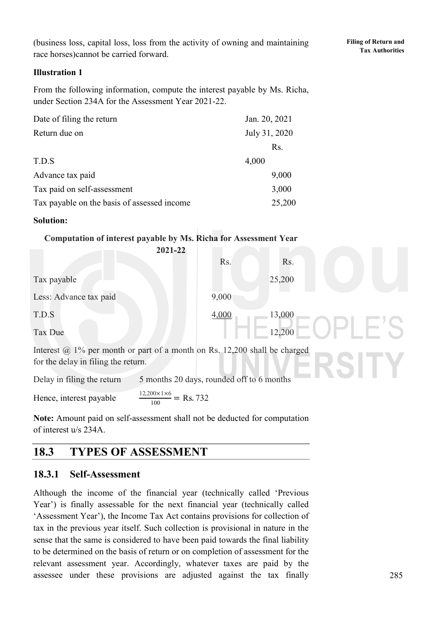(business loss, capital loss, loss from the activity of owning and maintaining race horses)cannot be carried forward.

### **Illustration 1**

From the following information, compute the interest payable by Ms. Richa, under Section 234A for the Assessment Year 2021-22.

| Date of filing the return                   | Jan. 20, 2021    |
|---------------------------------------------|------------------|
| Return due on                               | July 31, 2020    |
|                                             | R <sub>s</sub> . |
| T.D.S                                       | 4,000            |
| Advance tax paid                            | 9,000            |
| Tax paid on self-assessment                 | 3,000            |
| Tax payable on the basis of assessed income | 25,200           |

#### **Solution:**

### **Computation of interest payable by Ms. Richa for Assessment Year**

|                        | 2021-22 |       |        |  |
|------------------------|---------|-------|--------|--|
|                        |         | Rs.   | Rs.    |  |
| Tax payable            |         |       | 25,200 |  |
| Less: Advance tax paid |         | 9,000 |        |  |
| T.D.S                  |         | 4,000 | 13,000 |  |
| Tax Due                |         |       | 12,200 |  |

Interest  $\omega$ , 1% per month or part of a month on Rs. 12,200 shall be charged for the delay in filing the return.

Delay in filing the return 5 months 20 days, rounded off to 6 months

Hence, interest payable  $\frac{12,200\times1\times6}{100}$  = Rs. 732

**Note:** Amount paid on self-assessment shall not be deducted for computation of interest u/s 234A.

## **18.3 TYPES OF ASSESSMENT**

### **18.3.1 Self-Assessment**

Although the income of the financial year (technically called 'Previous Year') is finally assessable for the next financial year (technically called 'Assessment Year'), the Income Tax Act contains provisions for collection of tax in the previous year itself. Such collection is provisional in nature in the sense that the same is considered to have been paid towards the final liability to be determined on the basis of return or on completion of assessment for the relevant assessment year. Accordingly, whatever taxes are paid by the assessee under these provisions are adjusted against the tax finally

SITY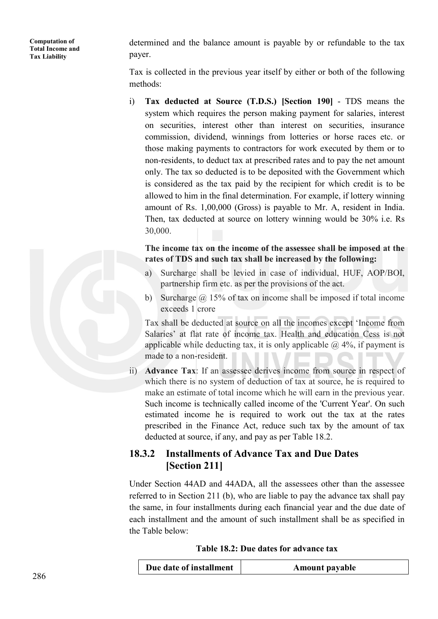determined and the balance amount is payable by or refundable to the tax payer.

Tax is collected in the previous year itself by either or both of the following methods:

i) **Tax deducted at Source (T.D.S.) [Section 190]** - TDS means the system which requires the person making payment for salaries, interest on securities, interest other than interest on securities, insurance commission, dividend, winnings from lotteries or horse races etc. or those making payments to contractors for work executed by them or to non-residents, to deduct tax at prescribed rates and to pay the net amount only. The tax so deducted is to be deposited with the Government which is considered as the tax paid by the recipient for which credit is to be allowed to him in the final determination. For example, if lottery winning amount of Rs. 1,00,000 (Gross) is payable to Mr. A, resident in India. Then, tax deducted at source on lottery winning would be 30% i.e. Rs 30,000.

**The income tax on the income of the assessee shall be imposed at the rates of TDS and such tax shall be increased by the following:**

- a) Surcharge shall be levied in case of individual, HUF, AOP/BOI, partnership firm etc. as per the provisions of the act.
- b) Surcharge  $\omega$  15% of tax on income shall be imposed if total income exceeds 1 crore

Tax shall be deducted at source on all the incomes except 'Income from Salaries' at flat rate of income tax. Health and education Cess is not applicable while deducting tax, it is only applicable  $\omega$  4%, if payment is made to a non-resident.

ii) **Advance Tax**: If an assessee derives income from source in respect of which there is no system of deduction of tax at source, he is required to make an estimate of total income which he will earn in the previous year. Such income is technically called income of the 'Current Year'. On such estimated income he is required to work out the tax at the rates prescribed in the Finance Act, reduce such tax by the amount of tax deducted at source, if any, and pay as per Table 18.2.

## **18.3.2 Installments of Advance Tax and Due Dates [Section 211]**

Under Section 44AD and 44ADA, all the assessees other than the assessee referred to in Section 211 (b), who are liable to pay the advance tax shall pay the same, in four installments during each financial year and the due date of each installment and the amount of such installment shall be as specified in the Table below:

| Table 18.2: Due dates for advance tax |  |  |
|---------------------------------------|--|--|
|---------------------------------------|--|--|

| Due date of installment<br><b>Amount payable</b> |
|--------------------------------------------------|
|--------------------------------------------------|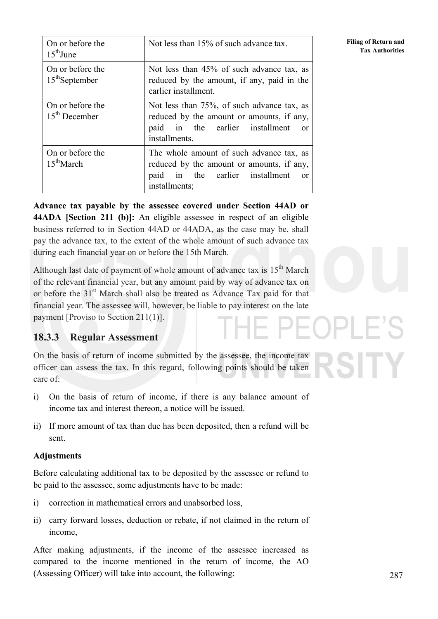| On or before the<br>$15th$ June            | Not less than 15% of such advance tax.                                                                                                                  |
|--------------------------------------------|---------------------------------------------------------------------------------------------------------------------------------------------------------|
| On or before the<br>$15th$ September       | Not less than 45% of such advance tax, as<br>reduced by the amount, if any, paid in the<br>earlier installment.                                         |
| On or before the<br>$15th$ December        | Not less than 75%, of such advance tax, as<br>reduced by the amount or amounts, if any,<br>paid in the earlier installment<br>$\alpha$<br>installments. |
| On or before the<br>$15^{\text{th}}$ March | The whole amount of such advance tax, as<br>reduced by the amount or amounts, if any,<br>in the earlier installment<br>paid<br>or<br>installments;      |

**Advance tax payable by the assessee covered under Section 44AD or 44ADA [Section 211 (b)]:** An eligible assessee in respect of an eligible business referred to in Section 44AD or 44ADA, as the case may be, shall pay the advance tax, to the extent of the whole amount of such advance tax during each financial year on or before the 15th March.

Although last date of payment of whole amount of advance tax is  $15<sup>th</sup>$  March of the relevant financial year, but any amount paid by way of advance tax on or before the 31<sup>st</sup> March shall also be treated as Advance Tax paid for that financial year. The assessee will, however, be liable to pay interest on the late payment [Proviso to Section 211(1)]. 1 PF

## **18.3.3 Regular Assessment**

On the basis of return of income submitted by the assessee, the income tax officer can assess the tax. In this regard, following points should be taken care of:

- i) On the basis of return of income, if there is any balance amount of income tax and interest thereon, a notice will be issued.
- ii) If more amount of tax than due has been deposited, then a refund will be sent.

### **Adjustments**

Before calculating additional tax to be deposited by the assessee or refund to be paid to the assessee, some adjustments have to be made:

- i) correction in mathematical errors and unabsorbed loss,
- ii) carry forward losses, deduction or rebate, if not claimed in the return of income,

After making adjustments, if the income of the assessee increased as compared to the income mentioned in the return of income, the AO (Assessing Officer) will take into account, the following:

287

**Filing of Return and Tax Authorities**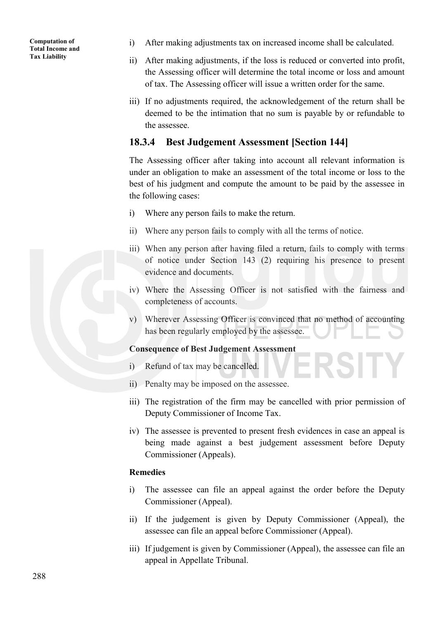- i) After making adjustments tax on increased income shall be calculated.
- ii) After making adjustments, if the loss is reduced or converted into profit, the Assessing officer will determine the total income or loss and amount of tax. The Assessing officer will issue a written order for the same.
- iii) If no adjustments required, the acknowledgement of the return shall be deemed to be the intimation that no sum is payable by or refundable to the assessee.

### **18.3.4 Best Judgement Assessment [Section 144]**

The Assessing officer after taking into account all relevant information is under an obligation to make an assessment of the total income or loss to the best of his judgment and compute the amount to be paid by the assessee in the following cases:

- i) Where any person fails to make the return.
- ii) Where any person fails to comply with all the terms of notice.
- iii) When any person after having filed a return, fails to comply with terms of notice under Section 143 (2) requiring his presence to present evidence and documents.
- iv) Where the Assessing Officer is not satisfied with the fairness and completeness of accounts.
- v) Wherever Assessing Officer is convinced that no method of accounting has been regularly employed by the assessee.

### **Consequence of Best Judgement Assessment**

- i) Refund of tax may be cancelled.
- ii) Penalty may be imposed on the assessee.
- iii) The registration of the firm may be cancelled with prior permission of Deputy Commissioner of Income Tax.
- iv) The assessee is prevented to present fresh evidences in case an appeal is being made against a best judgement assessment before Deputy Commissioner (Appeals).

### **Remedies**

- i) The assessee can file an appeal against the order before the Deputy Commissioner (Appeal).
- ii) If the judgement is given by Deputy Commissioner (Appeal), the assessee can file an appeal before Commissioner (Appeal).
- iii) If judgement is given by Commissioner (Appeal), the assessee can file an appeal in Appellate Tribunal.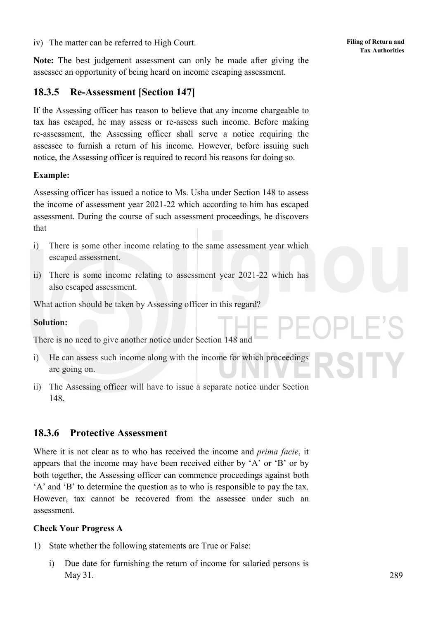iv) The matter can be referred to High Court.

**Note:** The best judgement assessment can only be made after giving the assessee an opportunity of being heard on income escaping assessment.

## **18.3.5 Re-Assessment [Section 147]**

If the Assessing officer has reason to believe that any income chargeable to tax has escaped, he may assess or re-assess such income. Before making re-assessment, the Assessing officer shall serve a notice requiring the assessee to furnish a return of his income. However, before issuing such notice, the Assessing officer is required to record his reasons for doing so.

### **Example:**

Assessing officer has issued a notice to Ms. Usha under Section 148 to assess the income of assessment year 2021-22 which according to him has escaped assessment. During the course of such assessment proceedings, he discovers that

- i) There is some other income relating to the same assessment year which escaped assessment.
- ii) There is some income relating to assessment year 2021-22 which has also escaped assessment.

What action should be taken by Assessing officer in this regard?

### **Solution:**

There is no need to give another notice under Section 148 and

- i) He can assess such income along with the income for which proceedings are going on.
- ii) The Assessing officer will have to issue a separate notice under Section 148.

### **18.3.6 Protective Assessment**

Where it is not clear as to who has received the income and *prima facie*, it appears that the income may have been received either by 'A' or 'B' or by both together, the Assessing officer can commence proceedings against both 'A' and 'B' to determine the question as to who is responsible to pay the tax. However, tax cannot be recovered from the assessee under such an assessment.

### **Check Your Progress A**

- 1) State whether the following statements are True or False:
	- i) Due date for furnishing the return of income for salaried persons is May 31.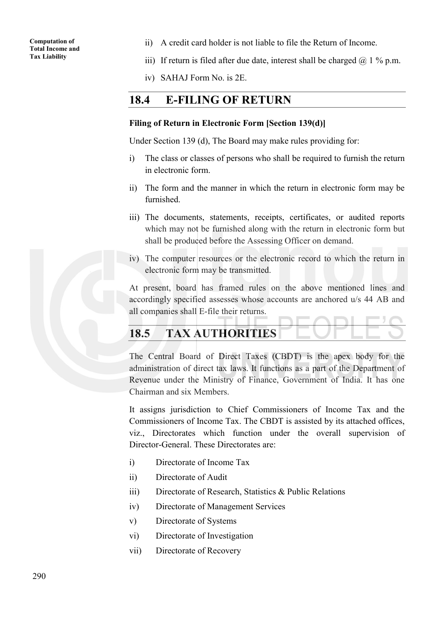- ii) A credit card holder is not liable to file the Return of Income.
- iii) If return is filed after due date, interest shall be charged  $\omega$  1 % p.m.
- iv) SAHAJ Form No. is 2E.

### **18.4 E-FILING OF RETURN**

#### **Filing of Return in Electronic Form [Section 139(d)]**

Under Section 139 (d), The Board may make rules providing for:

- i) The class or classes of persons who shall be required to furnish the return in electronic form.
- ii) The form and the manner in which the return in electronic form may be furnished.
- iii) The documents, statements, receipts, certificates, or audited reports which may not be furnished along with the return in electronic form but shall be produced before the Assessing Officer on demand.
- iv) The computer resources or the electronic record to which the return in electronic form may be transmitted.

At present, board has framed rules on the above mentioned lines and accordingly specified assesses whose accounts are anchored u/s 44 AB and all companies shall E-file their returns.

## **18.5 TAX AUTHORITIES**

The Central Board of Direct Taxes (CBDT) is the apex body for the administration of direct tax laws. It functions as a part of the Department of Revenue under the Ministry of Finance, Government of India. It has one Chairman and six Members.

It assigns jurisdiction to Chief Commissioners of Income Tax and the Commissioners of Income Tax. The CBDT is assisted by its attached offices, viz., Directorates which function under the overall supervision of Director-General. These Directorates are:

- i) Directorate of Income Tax
- ii) Directorate of Audit
- iii) Directorate of Research, Statistics & Public Relations
- iv) Directorate of Management Services
- v) Directorate of Systems
- vi) Directorate of Investigation
- vii) Directorate of Recovery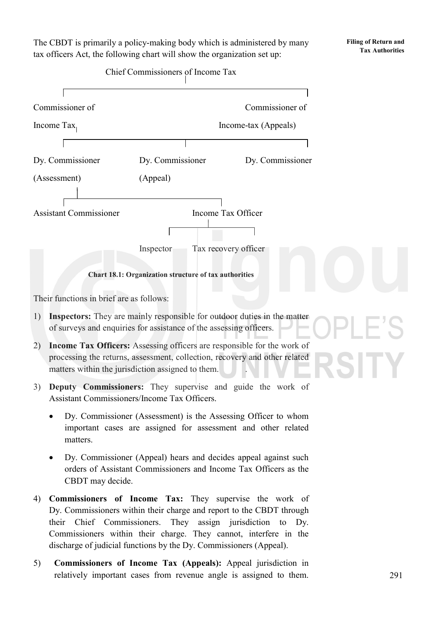The CBDT is primarily a policy-making body which is administered by many tax officers Act, the following chart will show the organization set up:

**Filing of Return and Tax Authorities**



4) **Commissioners of Income Tax:** They supervise the work of Dy. Commissioners within their charge and report to the CBDT through their Chief Commissioners. They assign jurisdiction to Dy. Commissioners within their charge. They cannot, interfere in the discharge of judicial functions by the Dy. Commissioners (Appeal).

5) **Commissioners of Income Tax (Appeals):** Appeal jurisdiction in relatively important cases from revenue angle is assigned to them.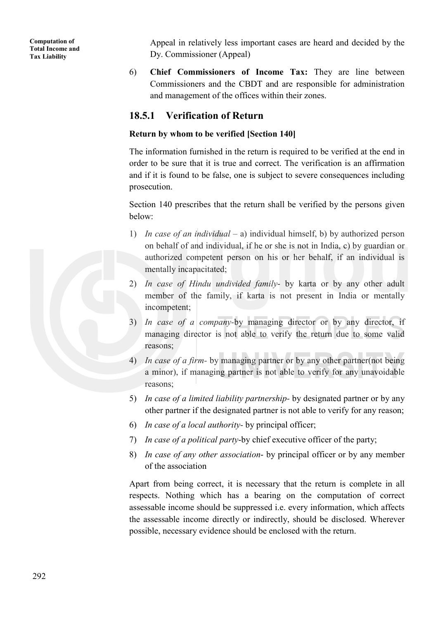Appeal in relatively less important cases are heard and decided by the Dy. Commissioner (Appeal)

6) **Chief Commissioners of Income Tax:** They are line between Commissioners and the CBDT and are responsible for administration and management of the offices within their zones.

### **18.5.1 Verification of Return**

#### **Return by whom to be verified [Section 140]**

The information furnished in the return is required to be verified at the end in order to be sure that it is true and correct. The verification is an affirmation and if it is found to be false, one is subject to severe consequences including prosecution.

Section 140 prescribes that the return shall be verified by the persons given below:

- 1) *In case of an individual* a) individual himself, b) by authorized person on behalf of and individual, if he or she is not in India, c) by guardian or authorized competent person on his or her behalf, if an individual is mentally incapacitated;
- 2) *In case of Hindu undivided family* by karta or by any other adult member of the family, if karta is not present in India or mentally incompetent;
- 3) *In case of a company-*by managing director or by any director, if managing director is not able to verify the return due to some valid reasons;
- 4) *In case of a firm-* by managing partner or by any other partner(not being a minor), if managing partner is not able to verify for any unavoidable reasons;
- 5) *In case of a limited liability partnership-* by designated partner or by any other partner if the designated partner is not able to verify for any reason;
- 6) *In case of a local authority-* by principal officer;
- 7) *In case of a political party*-by chief executive officer of the party;
- 8) *In case of any other association* by principal officer or by any member of the association

Apart from being correct, it is necessary that the return is complete in all respects. Nothing which has a bearing on the computation of correct assessable income should be suppressed i.e. every information, which affects the assessable income directly or indirectly, should be disclosed. Wherever possible, necessary evidence should be enclosed with the return.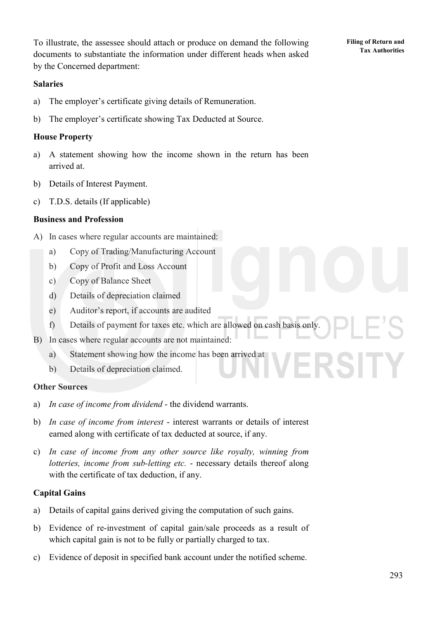To illustrate, the assessee should attach or produce on demand the following documents to substantiate the information under different heads when asked by the Concerned department:

#### **Salaries**

- a) The employer's certificate giving details of Remuneration.
- b) The employer's certificate showing Tax Deducted at Source.

#### **House Property**

- a) A statement showing how the income shown in the return has been arrived at.
- b) Details of Interest Payment.
- c) T.D.S. details (If applicable)

#### **Business and Profession**

- A) In cases where regular accounts are maintained:
	- a) Copy of Trading/Manufacturing Account
	- b) Copy of Profit and Loss Account
	- c) Copy of Balance Sheet
	- d) Details of depreciation claimed
	- e) Auditor's report, if accounts are audited
	- f) Details of payment for taxes etc. which are allowed on cash basis only.
- B) In cases where regular accounts are not maintained:
	- a) Statement showing how the income has been arrived at
	- b) Details of depreciation claimed.

#### **Other Sources**

- a) *In case of income from dividend* the dividend warrants.
- b) *In case of income from interest* interest warrants or details of interest earned along with certificate of tax deducted at source, if any.
- c) *In case of income from any other source like royalty, winning from lotteries, income from sub-letting etc.* - necessary details thereof along with the certificate of tax deduction, if any.

#### **Capital Gains**

- a) Details of capital gains derived giving the computation of such gains.
- b) Evidence of re-investment of capital gain/sale proceeds as a result of which capital gain is not to be fully or partially charged to tax.
- c) Evidence of deposit in specified bank account under the notified scheme.

**Filing of Return and Tax Authorities**

ERSITY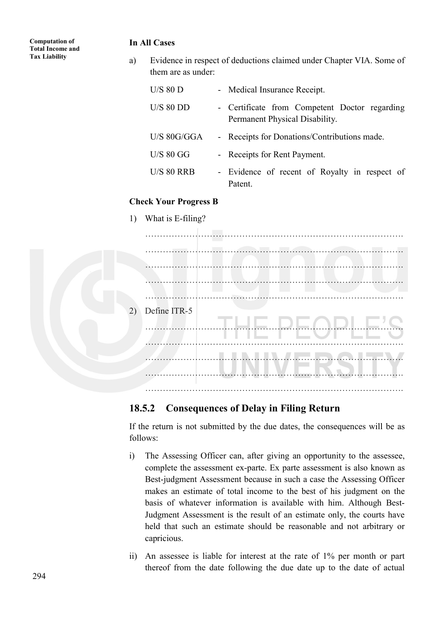#### **In All Cases**

a) Evidence in respect of deductions claimed under Chapter VIA. Some of them are as under:

| $U/S$ 80 D        | - Medical Insurance Receipt.                                                    |
|-------------------|---------------------------------------------------------------------------------|
| $U/S$ 80 DD       | - Certificate from Competent Doctor regarding<br>Permanent Physical Disability. |
| $U/S$ 80G/GGA     | - Receipts for Donations/Contributions made.                                    |
| $U/S$ 80 GG       | - Receipts for Rent Payment.                                                    |
| <b>U/S 80 RRB</b> | - Evidence of recent of Royalty in respect of<br>Patent                         |

#### **Check Your Progress B**

1) What is E-filing?



### **18.5.2 Consequences of Delay in Filing Return**

If the return is not submitted by the due dates, the consequences will be as follows:

- i) The Assessing Officer can, after giving an opportunity to the assessee, complete the assessment ex-parte. Ex parte assessment is also known as Best-judgment Assessment because in such a case the Assessing Officer makes an estimate of total income to the best of his judgment on the basis of whatever information is available with him. Although Best-Judgment Assessment is the result of an estimate only, the courts have held that such an estimate should be reasonable and not arbitrary or capricious.
- ii) An assessee is liable for interest at the rate of 1% per month or part thereof from the date following the due date up to the date of actual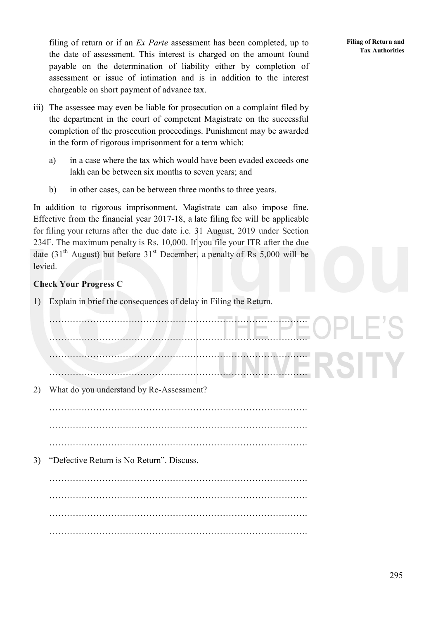filing of return or if an *Ex Parte* assessment has been completed, up to the date of assessment. This interest is charged on the amount found payable on the determination of liability either by completion of assessment or issue of intimation and is in addition to the interest chargeable on short payment of advance tax.

- iii) The assessee may even be liable for prosecution on a complaint filed by the department in the court of competent Magistrate on the successful completion of the prosecution proceedings. Punishment may be awarded in the form of rigorous imprisonment for a term which:
	- a) in a case where the tax which would have been evaded exceeds one lakh can be between six months to seven years; and
	- b) in other cases, can be between three months to three years.

In addition to rigorous imprisonment, Magistrate can also impose fine. Effective from the financial year 2017-18, a late filing fee will be applicable for filing your returns after the due date i.e. 31 August, 2019 under Section 234F. The maximum penalty is Rs. 10,000. If you file your ITR after the due date  $(31<sup>th</sup>$  August) but before  $31<sup>st</sup>$  December, a penalty of Rs 5,000 will be levied.

### **Check Your Progress C**

1) Explain in brief the consequences of delay in Filing the Return.

……………………………………………………………………………. ……………………………………………………………………………. ……………………………………………………………………………. ……………………………………………………………………………. 2) What do you understand by Re-Assessment? ……………………………………………………………………………. …………………………………………………………………………….  $\mathcal{L}^{(n)}$ 3) "Defective Return is No Return". Discuss. …………………………………………………………………………….  $\mathcal{L}^{(n)}$ 

…………………………………………………………………………….

**Filing of Return and Tax Authorities**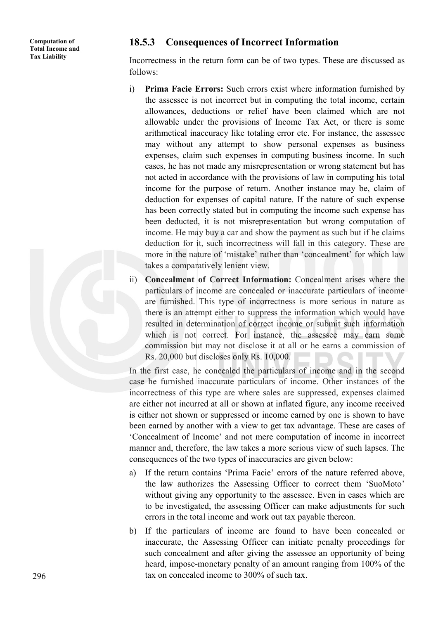### **18.5.3 Consequences of Incorrect Information**

Incorrectness in the return form can be of two types. These are discussed as follows:

- i) **Prima Facie Errors:** Such errors exist where information furnished by the assessee is not incorrect but in computing the total income, certain allowances, deductions or relief have been claimed which are not allowable under the provisions of Income Tax Act, or there is some arithmetical inaccuracy like totaling error etc. For instance, the assessee may without any attempt to show personal expenses as business expenses, claim such expenses in computing business income. In such cases, he has not made any misrepresentation or wrong statement but has not acted in accordance with the provisions of law in computing his total income for the purpose of return. Another instance may be, claim of deduction for expenses of capital nature. If the nature of such expense has been correctly stated but in computing the income such expense has been deducted, it is not misrepresentation but wrong computation of income. He may buy a car and show the payment as such but if he claims deduction for it, such incorrectness will fall in this category. These are more in the nature of 'mistake' rather than 'concealment' for which law takes a comparatively lenient view.
- ii) **Concealment of Correct Information:** Concealment arises where the particulars of income are concealed or inaccurate particulars of income are furnished. This type of incorrectness is more serious in nature as there is an attempt either to suppress the information which would have resulted in determination of correct income or submit such information which is not correct. For instance, the assessee may earn some commission but may not disclose it at all or he earns a commission of Rs. 20,000 but discloses only Rs. 10,000.

In the first case, he concealed the particulars of income and in the second case he furnished inaccurate particulars of income. Other instances of the incorrectness of this type are where sales are suppressed, expenses claimed are either not incurred at all or shown at inflated figure, any income received is either not shown or suppressed or income earned by one is shown to have been earned by another with a view to get tax advantage. These are cases of 'Concealment of Income' and not mere computation of income in incorrect manner and, therefore, the law takes a more serious view of such lapses. The consequences of the two types of inaccuracies are given below:

- a) If the return contains 'Prima Facie' errors of the nature referred above, the law authorizes the Assessing Officer to correct them 'SuoMoto' without giving any opportunity to the assessee. Even in cases which are to be investigated, the assessing Officer can make adjustments for such errors in the total income and work out tax payable thereon.
- b) If the particulars of income are found to have been concealed or inaccurate, the Assessing Officer can initiate penalty proceedings for such concealment and after giving the assessee an opportunity of being heard, impose-monetary penalty of an amount ranging from 100% of the tax on concealed income to 300% of such tax.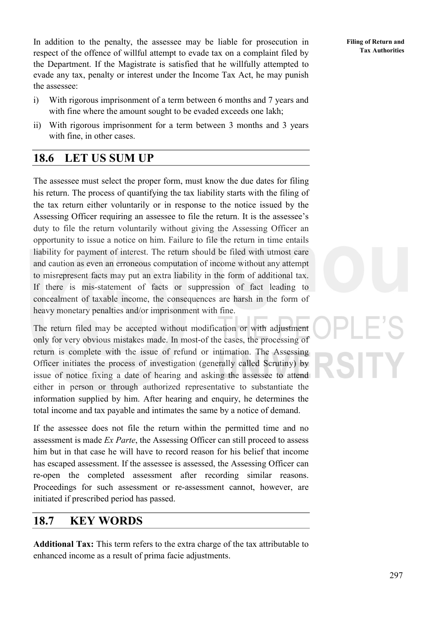In addition to the penalty, the assessee may be liable for prosecution in respect of the offence of willful attempt to evade tax on a complaint filed by the Department. If the Magistrate is satisfied that he willfully attempted to evade any tax, penalty or interest under the Income Tax Act, he may punish the assessee:

- i) With rigorous imprisonment of a term between 6 months and 7 years and with fine where the amount sought to be evaded exceeds one lakh;
- ii) With rigorous imprisonment for a term between 3 months and 3 years with fine, in other cases.

## **18.6 LET US SUM UP**

The assessee must select the proper form, must know the due dates for filing his return. The process of quantifying the tax liability starts with the filing of the tax return either voluntarily or in response to the notice issued by the Assessing Officer requiring an assessee to file the return. It is the assessee's duty to file the return voluntarily without giving the Assessing Officer an opportunity to issue a notice on him. Failure to file the return in time entails liability for payment of interest. The return should be filed with utmost care and caution as even an erroneous computation of income without any attempt to misrepresent facts may put an extra liability in the form of additional tax. If there is mis-statement of facts or suppression of fact leading to concealment of taxable income, the consequences are harsh in the form of heavy monetary penalties and/or imprisonment with fine.

The return filed may be accepted without modification or with adjustment only for very obvious mistakes made. In most-of the cases, the processing of return is complete with the issue of refund or intimation. The Assessing Officer initiates the process of investigation (generally called Scrutiny) by issue of notice fixing a date of hearing and asking the assessee to attend either in person or through authorized representative to substantiate the information supplied by him. After hearing and enquiry, he determines the total income and tax payable and intimates the same by a notice of demand.

If the assessee does not file the return within the permitted time and no assessment is made *Ex Parte*, the Assessing Officer can still proceed to assess him but in that case he will have to record reason for his belief that income has escaped assessment. If the assessee is assessed, the Assessing Officer can re-open the completed assessment after recording similar reasons. Proceedings for such assessment or re-assessment cannot, however, are initiated if prescribed period has passed.

## **18.7 KEY WORDS**

**Additional Tax:** This term refers to the extra charge of the tax attributable to enhanced income as a result of prima facie adjustments.

**Filing of Return and Tax Authorities**

297